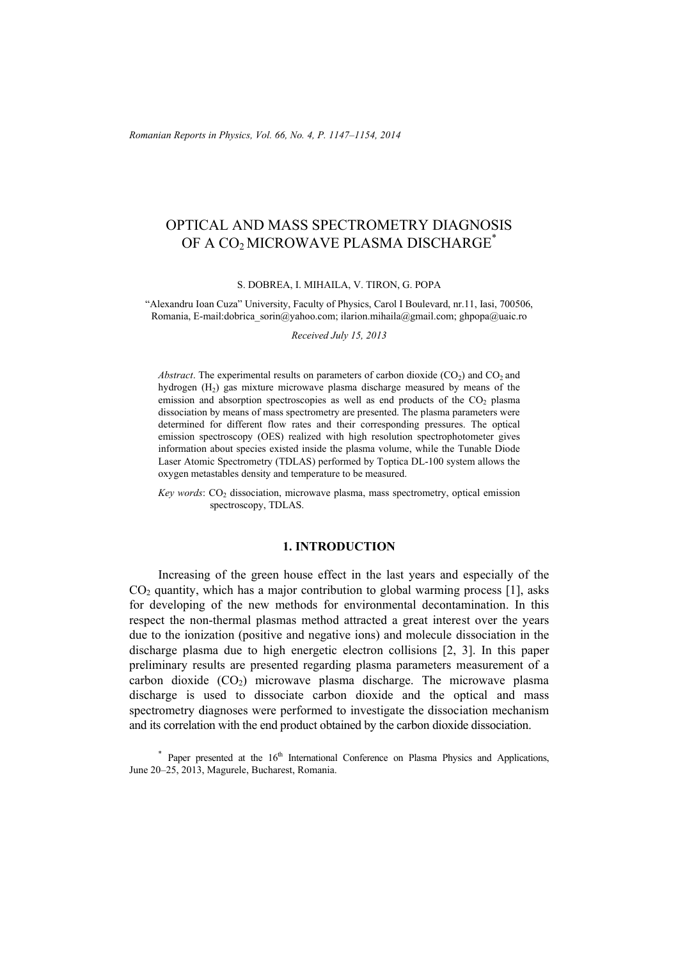*Romanian Reports in Physics, Vol. 66, No. 4, P. 1147–1154, 2014*

# OPTICAL AND MASS SPECTROMETRY DIAGNOSIS OF A CO<sub>2</sub> MICROWAVE PLASMA DISCHARGE<sup>\*</sup>

S. DOBREA, I. MIHAILA, V. TIRON, G. POPA

"Alexandru Ioan Cuza" University, Faculty of Physics, Carol I Boulevard, nr.11, Iasi, 700506, Romania, E-mail:dobrica\_sorin@yahoo.com; ilarion.mihaila@gmail.com; ghpopa@uaic.ro

*Received July 15, 2013* 

*Abstract*. The experimental results on parameters of carbon dioxide  $(CO_2)$  and  $CO_2$  and hydrogen  $(H<sub>2</sub>)$  gas mixture microwave plasma discharge measured by means of the emission and absorption spectroscopies as well as end products of the  $CO<sub>2</sub>$  plasma dissociation by means of mass spectrometry are presented. The plasma parameters were determined for different flow rates and their corresponding pressures. The optical emission spectroscopy (OES) realized with high resolution spectrophotometer gives information about species existed inside the plasma volume, while the Tunable Diode Laser Atomic Spectrometry (TDLAS) performed by Toptica DL-100 system allows the oxygen metastables density and temperature to be measured.

*Key words*: CO<sub>2</sub> dissociation, microwave plasma, mass spectrometry, optical emission spectroscopy, TDLAS.

## **1. INTRODUCTION**

 Increasing of the green house effect in the last years and especially of the  $CO<sub>2</sub>$  quantity, which has a major contribution to global warming process [1], asks for developing of the new methods for environmental decontamination. In this respect the non-thermal plasmas method attracted a great interest over the years due to the ionization (positive and negative ions) and molecule dissociation in the discharge plasma due to high energetic electron collisions [2, 3]. In this paper preliminary results are presented regarding plasma parameters measurement of a carbon dioxide  $(CO<sub>2</sub>)$  microwave plasma discharge. The microwave plasma discharge is used to dissociate carbon dioxide and the optical and mass spectrometry diagnoses were performed to investigate the dissociation mechanism and its correlation with the end product obtained by the carbon dioxide dissociation.

 $*$  Paper presented at the  $16<sup>th</sup>$  International Conference on Plasma Physics and Applications, June 20–25, 2013, Magurele, Bucharest, Romania.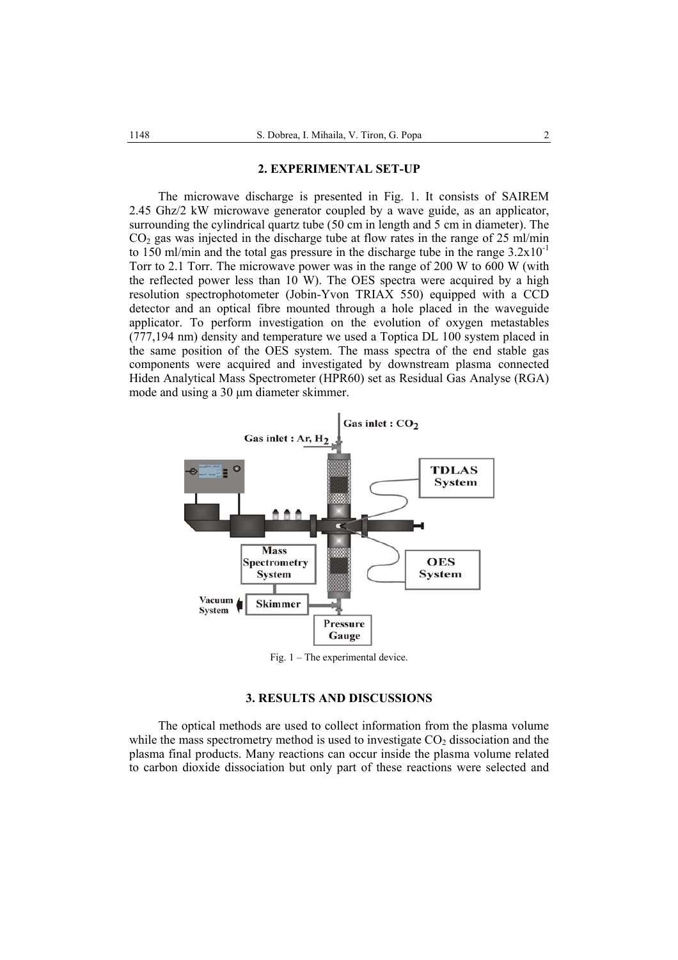#### **2. EXPERIMENTAL SET-UP**

 The microwave discharge is presented in Fig. 1. It consists of SAIREM 2.45 Ghz/2 kW microwave generator coupled by a wave guide, as an applicator, surrounding the cylindrical quartz tube (50 cm in length and 5 cm in diameter). The  $CO<sub>2</sub>$  gas was injected in the discharge tube at flow rates in the range of 25 ml/min to 150 ml/min and the total gas pressure in the discharge tube in the range  $3.2 \times 10^{-1}$ Torr to 2.1 Torr. The microwave power was in the range of 200 W to 600 W (with the reflected power less than  $10$  W). The OES spectra were acquired by a high resolution spectrophotometer (Jobin-Yvon TRIAX 550) equipped with a CCD detector and an optical fibre mounted through a hole placed in the waveguide applicator. To perform investigation on the evolution of oxygen metastables (777,194 nm) density and temperature we used a Toptica DL 100 system placed in the same position of the OES system. The mass spectra of the end stable gas components were acquired and investigated by downstream plasma connected Hiden Analytical Mass Spectrometer (HPR60) set as Residual Gas Analyse (RGA) mode and using a 30 μm diameter skimmer.



Fig. 1 – The experimental device.

## **3. RESULTS AND DISCUSSIONS**

 The optical methods are used to collect information from the plasma volume while the mass spectrometry method is used to investigate  $CO<sub>2</sub>$  dissociation and the plasma final products. Many reactions can occur inside the plasma volume related to carbon dioxide dissociation but only part of these reactions were selected and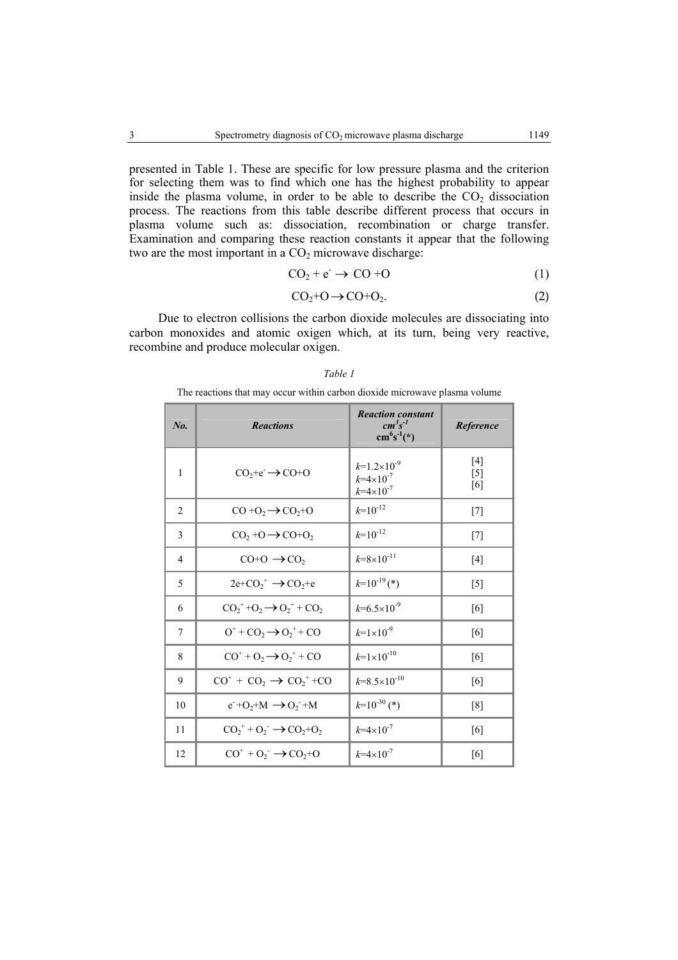presented in Table 1. These are specific for low pressure plasma and the criterion for selecting them was to find which one has the highest probability to appear inside the plasma volume, in order to be able to describe the  $CO<sub>2</sub>$  dissociation process. The reactions from this table describe different process that occurs in plasma volume such as: dissociation, recombination or charge transfer. Examination and comparing these reaction constants it appear that the following two are the most important in a  $CO<sub>2</sub>$  microwave discharge:

$$
CO_2 + e^- \rightarrow CO + O \tag{1}
$$

$$
CO2+O \to CO+O2.
$$
 (2)

Due to electron collisions the carbon dioxide molecules are dissociating into carbon monoxides and atomic oxigen which, at its turn, being very reactive, recombine and produce molecular oxigen.

| No.            | <b>Reactions</b>                                                                     | <b>Reaction constant</b><br>$cm^3s^{-1}$<br>$cm6s-1(*)$          | Reference             |
|----------------|--------------------------------------------------------------------------------------|------------------------------------------------------------------|-----------------------|
| 1              | $CO2+e \rightarrow CO+O$                                                             | $k=1.2\times10^{-9}$<br>$k=4\times10^{-7}$<br>$k=4\times10^{-7}$ | $[4]$<br>$[5]$<br>[6] |
| $\overline{2}$ | $CO + O2 \rightarrow CO2+O$                                                          | $k=10^{-12}$                                                     | $[7]$                 |
| 3              | $CO2 + O \rightarrow CO + O2$                                                        | $k=10^{-12}$                                                     | $[7]$                 |
| $\overline{4}$ | $CO + O \rightarrow CO$                                                              | $k = 8 \times 10^{-11}$                                          | $[4]$                 |
| 5              | $2e+CO_2^+ \rightarrow CO_2+e$                                                       | $k=10^{-19}$ (*)                                                 | $[5]$                 |
| 6              | $CO_2^+$ +O <sub>2</sub> $\rightarrow$ O <sub>2</sub> <sup>+</sup> + CO <sub>2</sub> | $k=6.5\times10^{-9}$                                             | [6]                   |
| 7              | $O^+$ + $CO_2$ $\rightarrow$ $O_2^+$ + $CO$                                          | $k=1\times10^{-9}$                                               | [6]                   |
| 8              | $CO+ + O2 \rightarrow O2+ + CO$                                                      | $k=1\times10^{-10}$                                              | [6]                   |
| 9              | $CO+ + CO2 \rightarrow CO2+ + CO$                                                    | $k=8.5\times10^{-10}$                                            | [6]                   |
| 10             | $e^+O_2+M \rightarrow O_2^-+M$                                                       | $k=10^{-30}$ (*)                                                 | [8]                   |
| 11             | $CO2+ + O2 \rightarrow CO2+O2$                                                       | $k=4\times10^{-7}$                                               | [6]                   |
| 12             | $CO^+ + O_2^- \rightarrow CO_2 + O$                                                  | $k=4\times10^{-7}$                                               | [6]                   |

#### *Table 1*

The reactions that may occur within carbon dioxide microwave plasma volume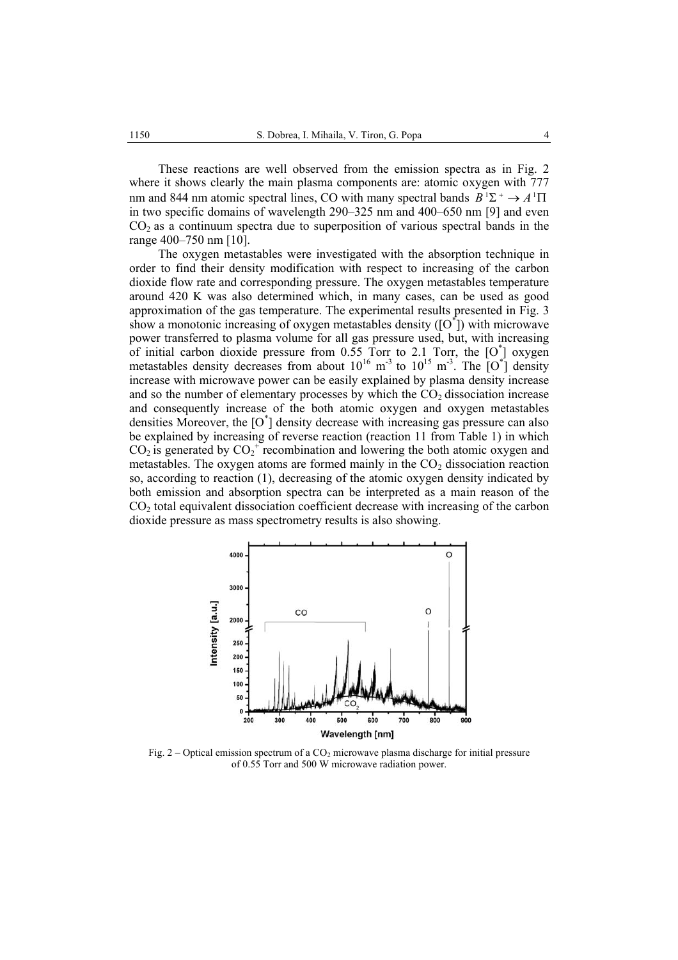These reactions are well observed from the emission spectra as in Fig. 2 where it shows clearly the main plasma components are: atomic oxygen with 777 nm and 844 nm atomic spectral lines, CO with many spectral bands  $B^1\Sigma^+ \to A^1\Pi$ in two specific domains of wavelength 290–325 nm and 400–650 nm [9] and even  $CO<sub>2</sub>$  as a continuum spectra due to superposition of various spectral bands in the range 400–750 nm [10].

 The oxygen metastables were investigated with the absorption technique in order to find their density modification with respect to increasing of the carbon dioxide flow rate and corresponding pressure. The oxygen metastables temperature around 420 K was also determined which, in many cases, can be used as good approximation of the gas temperature. The experimental results presented in Fig. 3 show a monotonic increasing of oxygen metastables density  $([O^*])$  with microwave power transferred to plasma volume for all gas pressure used, but, with increasing of initial carbon dioxide pressure from  $0.55$  Torr to 2.1 Torr, the  $[0^{\dagger}]$  oxygen metastables density decreases from about  $10^{16}$  m<sup>-3</sup> to  $10^{15}$  m<sup>-3</sup>. The  $[O^{\dagger}]$  density increase with microwave power can be easily explained by plasma density increase and so the number of elementary processes by which the  $CO<sub>2</sub>$  dissociation increase and consequently increase of the both atomic oxygen and oxygen metastables densities Moreover, the [O\* ] density decrease with increasing gas pressure can also be explained by increasing of reverse reaction (reaction 11 from Table 1) in which  $CO<sub>2</sub>$  is generated by  $CO<sub>2</sub><sup>+</sup>$  recombination and lowering the both atomic oxygen and metastables. The oxygen atoms are formed mainly in the  $CO<sub>2</sub>$  dissociation reaction so, according to reaction (1), decreasing of the atomic oxygen density indicated by both emission and absorption spectra can be interpreted as a main reason of the CO2 total equivalent dissociation coefficient decrease with increasing of the carbon dioxide pressure as mass spectrometry results is also showing.



Fig. 2 – Optical emission spectrum of a  $CO<sub>2</sub>$  microwave plasma discharge for initial pressure of 0.55 Torr and 500 W microwave radiation power.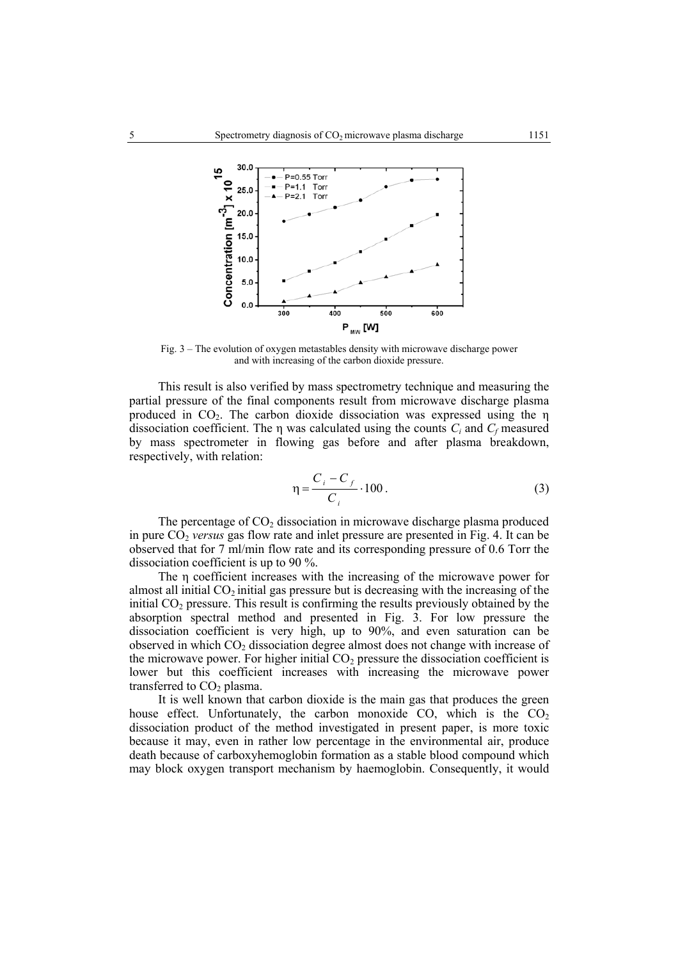

Fig. 3 – The evolution of oxygen metastables density with microwave discharge power and with increasing of the carbon dioxide pressure.

 This result is also verified by mass spectrometry technique and measuring the partial pressure of the final components result from microwave discharge plasma produced in  $CO<sub>2</sub>$ . The carbon dioxide dissociation was expressed using the  $\eta$ dissociation coefficient. The  $\eta$  was calculated using the counts  $C_i$  and  $C_f$  measured by mass spectrometer in flowing gas before and after plasma breakdown, respectively, with relation:

$$
\eta = \frac{C_i - C_f}{C_i} \cdot 100 \,. \tag{3}
$$

The percentage of  $CO<sub>2</sub>$  dissociation in microwave discharge plasma produced in pure CO2 *versus* gas flow rate and inlet pressure are presented in Fig. 4. It can be observed that for 7 ml/min flow rate and its corresponding pressure of 0.6 Torr the dissociation coefficient is up to 90 %.

The η coefficient increases with the increasing of the microwave power for almost all initial  $CO<sub>2</sub>$  initial gas pressure but is decreasing with the increasing of the initial  $CO<sub>2</sub>$  pressure. This result is confirming the results previously obtained by the absorption spectral method and presented in Fig. 3. For low pressure the dissociation coefficient is very high, up to 90%, and even saturation can be observed in which  $CO<sub>2</sub>$  dissociation degree almost does not change with increase of the microwave power. For higher initial  $CO<sub>2</sub>$  pressure the dissociation coefficient is lower but this coefficient increases with increasing the microwave power transferred to  $CO<sub>2</sub>$  plasma.

It is well known that carbon dioxide is the main gas that produces the green house effect. Unfortunately, the carbon monoxide  $CO$ , which is the  $CO<sub>2</sub>$ dissociation product of the method investigated in present paper, is more toxic because it may, even in rather low percentage in the environmental air, produce death because of carboxyhemoglobin formation as a stable blood compound which may block oxygen transport mechanism by haemoglobin. Consequently, it would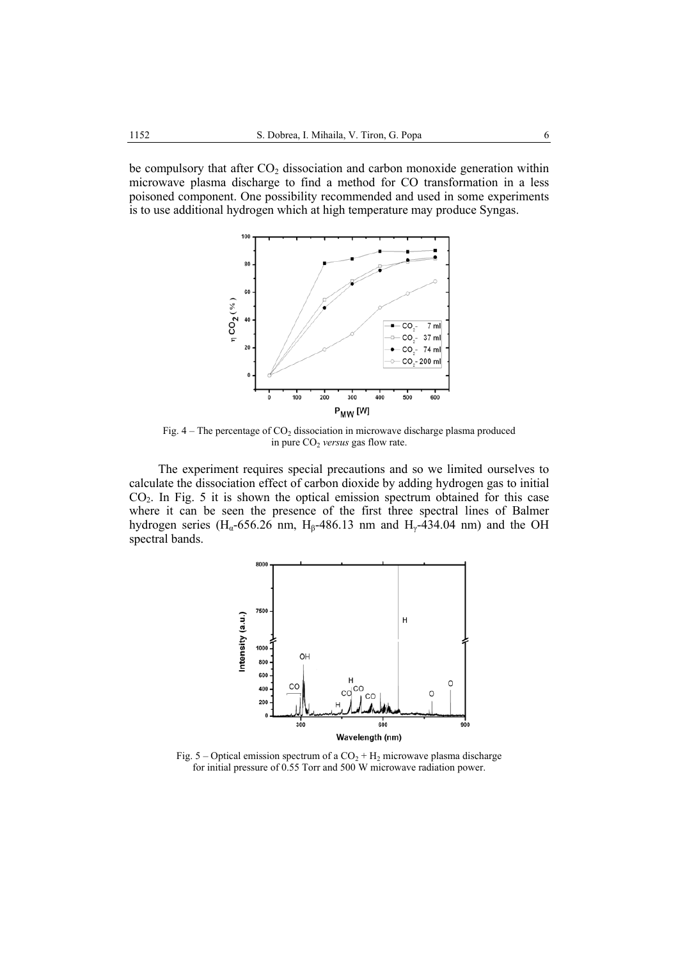be compulsory that after  $CO<sub>2</sub>$  dissociation and carbon monoxide generation within microwave plasma discharge to find a method for CO transformation in a less poisoned component. One possibility recommended and used in some experiments is to use additional hydrogen which at high temperature may produce Syngas.



Fig.  $4 -$ The percentage of CO<sub>2</sub> dissociation in microwave discharge plasma produced in pure CO<sub>2</sub> versus gas flow rate.

 The experiment requires special precautions and so we limited ourselves to calculate the dissociation effect of carbon dioxide by adding hydrogen gas to initial CO2. In Fig. 5 it is shown the optical emission spectrum obtained for this case where it can be seen the presence of the first three spectral lines of Balmer hydrogen series (H<sub>a</sub>-656.26 nm, H<sub>β</sub>-486.13 nm and H<sub>γ</sub>-434.04 nm) and the OH spectral bands.



Fig. 5 – Optical emission spectrum of a  $CO<sub>2</sub> + H<sub>2</sub>$  microwave plasma discharge for initial pressure of 0.55 Torr and 500 W microwave radiation power.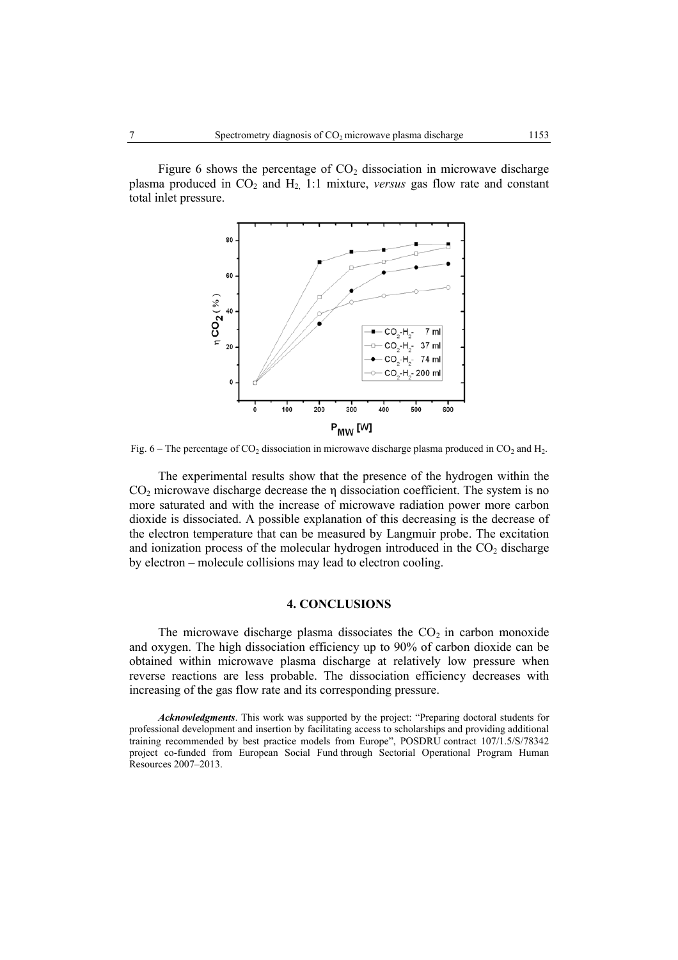Figure 6 shows the percentage of  $CO<sub>2</sub>$  dissociation in microwave discharge plasma produced in CO<sub>2</sub> and H<sub>2</sub>, 1:1 mixture, *versus* gas flow rate and constant total inlet pressure.



Fig. 6 – The percentage of  $CO_2$  dissociation in microwave discharge plasma produced in  $CO_2$  and H<sub>2</sub>.

The experimental results show that the presence of the hydrogen within the  $CO<sub>2</sub>$  microwave discharge decrease the  $\eta$  dissociation coefficient. The system is no more saturated and with the increase of microwave radiation power more carbon dioxide is dissociated. A possible explanation of this decreasing is the decrease of the electron temperature that can be measured by Langmuir probe. The excitation and ionization process of the molecular hydrogen introduced in the  $CO<sub>2</sub>$  discharge by electron – molecule collisions may lead to electron cooling.

## **4. CONCLUSIONS**

The microwave discharge plasma dissociates the  $CO<sub>2</sub>$  in carbon monoxide and oxygen. The high dissociation efficiency up to 90% of carbon dioxide can be obtained within microwave plasma discharge at relatively low pressure when reverse reactions are less probable. The dissociation efficiency decreases with increasing of the gas flow rate and its corresponding pressure.

*Acknowledgments*. This work was supported by the project: "Preparing doctoral students for professional development and insertion by facilitating access to scholarships and providing additional training recommended by best practice models from Europe", POSDRU contract 107/1.5/S/78342 project co-funded from European Social Fund through Sectorial Operational Program Human Resources 2007–2013.